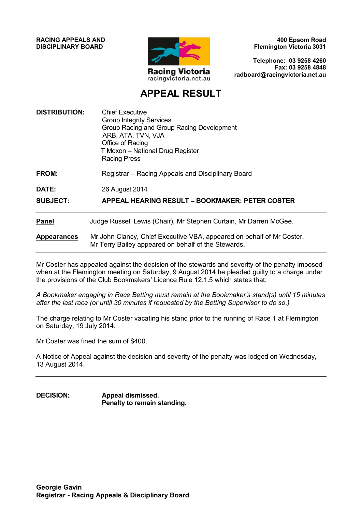**RACING APPEALS AND DISCIPLINARY BOARD**



**400 Epsom Road Flemington Victoria 3031**

**Telephone: 03 9258 4260 Fax: 03 9258 4848 radboard@racingvictoria.net.au**

## **APPEAL RESULT**

| <b>DISTRIBUTION:</b> | <b>Chief Executive</b><br><b>Group Integrity Services</b><br>Group Racing and Group Racing Development<br>ARB, ATA, TVN, VJA<br>Office of Racing<br>T Moxon - National Drug Register<br><b>Racing Press</b> |
|----------------------|-------------------------------------------------------------------------------------------------------------------------------------------------------------------------------------------------------------|
| FROM:                | Registrar – Racing Appeals and Disciplinary Board                                                                                                                                                           |
| DATE:                | 26 August 2014                                                                                                                                                                                              |
| <b>SUBJECT:</b>      | APPEAL HEARING RESULT – BOOKMAKER: PETER COSTER                                                                                                                                                             |
| <b>Panel</b>         | Judge Russell Lewis (Chair), Mr Stephen Curtain, Mr Darren McGee.                                                                                                                                           |
| <b>Appearances</b>   | Mr John Clancy, Chief Executive VBA, appeared on behalf of Mr Coster.<br>Mr Terry Bailey appeared on behalf of the Stewards.                                                                                |

Mr Coster has appealed against the decision of the stewards and severity of the penalty imposed when at the Flemington meeting on Saturday, 9 August 2014 he pleaded guilty to a charge under the provisions of the Club Bookmakers' Licence Rule 12.1.5 which states that:

*A Bookmaker engaging in Race Betting must remain at the Bookmaker's stand(s) until 15 minutes after the last race (or until 30 minutes if requested by the Betting Supervisor to do so.)*

The charge relating to Mr Coster vacating his stand prior to the running of Race 1 at Flemington on Saturday, 19 July 2014.

Mr Coster was fined the sum of \$400.

A Notice of Appeal against the decision and severity of the penalty was lodged on Wednesday, 13 August 2014.

**DECISION: Appeal dismissed. Penalty to remain standing.**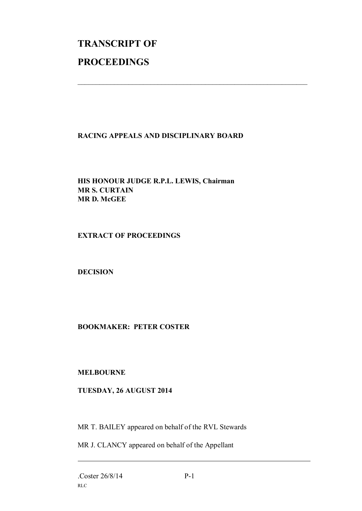# **TRANSCRIPT OF PROCEEDINGS**

### **RACING APPEALS AND DISCIPLINARY BOARD**

 $\mathcal{L}_\text{max}$  , and the contribution of the contribution of the contribution of the contribution of the contribution of the contribution of the contribution of the contribution of the contribution of the contribution of t

#### **HIS HONOUR JUDGE R.P.L. LEWIS, Chairman MR S. CURTAIN MR D. McGEE**

#### **EXTRACT OF PROCEEDINGS**

#### **DECISION**

#### **BOOKMAKER: PETER COSTER**

#### **MELBOURNE**

#### **TUESDAY, 26 AUGUST 2014**

MR T. BAILEY appeared on behalf of the RVL Stewards

MR J. CLANCY appeared on behalf of the Appellant